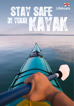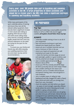Every year, over 1M people take part in kayaking and canoeing<br>activities in the UK. A large proportion of these activities are<br>inland but in recent years the RNLI has seen a significant increase<br>in canoeing and kayaking in Every year, over 1M people take part in kayaking and canoeing activities in the UK. A large proportion of these activities are inland but in recent years the RNLI has seen a significant increase in canoeing and kayaking incidents.

While many participants of the sport undertake plenty of training and ensure they carry all the relevant safety equipment, there has also been a significant increase in more casual users taking up kayaking. With discount shops and online stores selling cheap entry-level kit, including inflatable kayaks, people that don't have any previous experience on the water are trying out the sport for the first time.

To ensure you, your family and friends stay safe while enjoying your paddling experience, here are some basic top tips and kit recommendations.



### **BE PREPARED!** Be prepared!



Whether you're planning a casual paddle around the harbour or off on a 30km trek around rugged coastline, *all* **kayakers should follow these top tips:**

### *Always*

**Top tips**

- undertake suitable training in how to use all of your equipment
- learn and practise techniques to get back onboard your kayak should you capsize
- • ensure you are a confident swimmer and can swim a minimum of 50m in the sea
- • ensure your kayak and equipment are well maintained and ready for the water – check the hatches and drain plugs are secure and watertight, paddle is in good condition, seat is firmly attached and all gear secured safely
- wear a suitable approved personal  $\frac{50}{6}$ flotation device (PFD)
- ensure your PFD fits correctly and all the straps are done up securely and use crotch straps if fitted
- • wear suitable clothing for the season and conditions, such as a suitable wetsuit/drysuit and layered clothing; wear a hat and gloves in cold conditions
- • carry a suitable means of calling for help (waterproof and fully charged VHF radio or flares)
- take a drink and snack with you (energy bars, dried fruit, nuts, chocolate)
- • check the weather and tides before you depart – be aware of wind strength, especially offshore winds (where the wind is blowing out to sea)
- paddle in a group, where possible
- tell someone back on land where you are going and what time you will be back. Advise the local Coastguard of your planned journey. Sign up to HM Coastguard's Voluntary Safety Identification Scheme (CG66).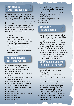# **I KAYAKING IN<br>I SHELTERED WATERS**

Kayaking in sheltered waters is a great way to gain experience but it's easy to underestimate the potential hazards. Even in sheltered waters such as within a harbour or within close proximity to a beach and when the wind is not blowing out to the sea, we recommend that *in addition* to following our top tips, you also ensure you carry a whistle attached by a suitable length cord to your PFD. If kayaking in surf you'll need to take extra care.

#### **Surf kayakers**

- • should always wear a helmet
- uncontrolled kayaks can be harmful in the surf environment as they are heavy
- keep away from other water users. especially swimmers
- • use beach zones where they are set up – look out for black and white chequered flags that indicate the area for hard surfcraft.

# I KAYAKING BEYOND Kayaking beyond

*In addition* to following the top tips, if you are kayaking anywhere beyond sheltered waters, take the following recommended equipment:

- whistle with a suitable cord attached to your PFD
- • selection of flares including a day/night flare attached to the PFD
- VHF radio (waterproof and charged)
- • fully charged mobile phone in a suitable dry bag (for back-up to the VHF)
- paddle with a leash (attached to kayak)
- split/spare paddle
- pump/hand bailer
- waterproof torch with working batteries
- waterproof GPS
- waterproof compass
- waterproof watch
- tow rope (be aware of its uses, ensure it is functional and keep within easy reach onboard)
- a trip plan, and small map and chart
- emergency knife attached to PFD
- basic first aid kit
- sunscreen/sunglasses/sun hat
- spare clothes
- exposure bag.

# **ISIT-ON-TOP SIT-ON-TOP** Sit-on-top

- do not overload your kayak with fishing kit – it is harder than you think to right a kayak with lots of kit on deck
- navigation aids, rod holders and other equipment should never be on deck when surfing or landing in surf due to the risk that they may get lost or cause injury
- anchors should only be used in areas with little or no current – a capsize while at anchor, especially if you are not attached to the kayak, will result in you becoming separated from the kayak even when there is only a small current running.

### WHAT TO DO IF YOU GET WHAT TO DO IF YOU GET in trouble or capsize

- call for help using your VHF radio, flares or both
- if you fall in, remember to keep a tight grip on the paddle – on a sit-on-top kayak this should be leashed to your kayak
- never attempt to swim to shore, always stay with your kayak; by staying with the kayak you make a larger target for the search and rescue groups to see
- even if you can only get your body partially out of the water you will significantly increase your survival time
- while it's tempting to self-rescue by **swimming for it, it has to be your while it's tempting to self-rescue by**<br>while it's tempting to self-rescue by<br>swimming for it, it has to be your<br>very last option.